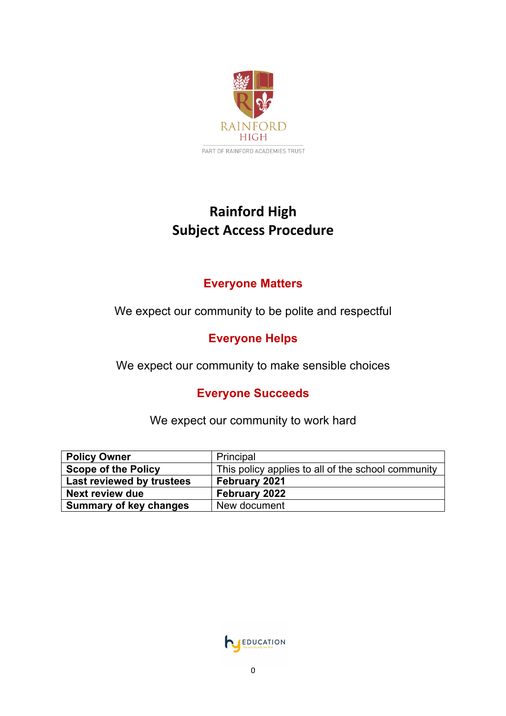

# **Rainford High Subject Access Procedure**

### **Everyone Matters**

We expect our community to be polite and respectful

## **Everyone Helps**

We expect our community to make sensible choices

### **Everyone Succeeds**

We expect our community to work hard

| <b>Policy Owner</b>           | Principal                                          |
|-------------------------------|----------------------------------------------------|
| <b>Scope of the Policy</b>    | This policy applies to all of the school community |
| Last reviewed by trustees     | February 2021                                      |
| <b>Next review due</b>        | February 2022                                      |
| <b>Summary of key changes</b> | New document                                       |

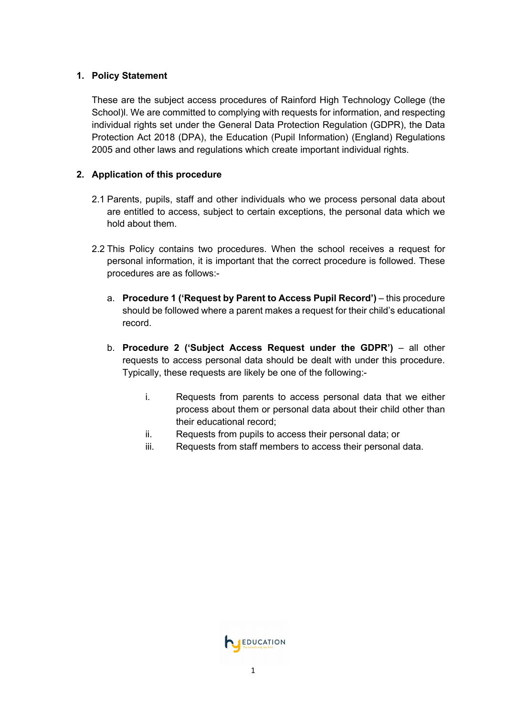#### **1. Policy Statement**

These are the subject access procedures of Rainford High Technology College (the School)l. We are committed to complying with requests for information, and respecting individual rights set under the General Data Protection Regulation (GDPR), the Data Protection Act 2018 (DPA), the Education (Pupil Information) (England) Regulations 2005 and other laws and regulations which create important individual rights.

#### **2. Application of this procedure**

- 2.1 Parents, pupils, staff and other individuals who we process personal data about are entitled to access, subject to certain exceptions, the personal data which we hold about them.
- 2.2 This Policy contains two procedures. When the school receives a request for personal information, it is important that the correct procedure is followed. These procedures are as follows:
	- a. **Procedure 1 ('Request by Parent to Access Pupil Record')**  this procedure should be followed where a parent makes a request for their child's educational record.
	- b. **Procedure 2 ('Subject Access Request under the GDPR')**  all other requests to access personal data should be dealt with under this procedure. Typically, these requests are likely be one of the following:
		- i. Requests from parents to access personal data that we either process about them or personal data about their child other than their educational record;
		- ii. Requests from pupils to access their personal data; or
		- iii. Requests from staff members to access their personal data.

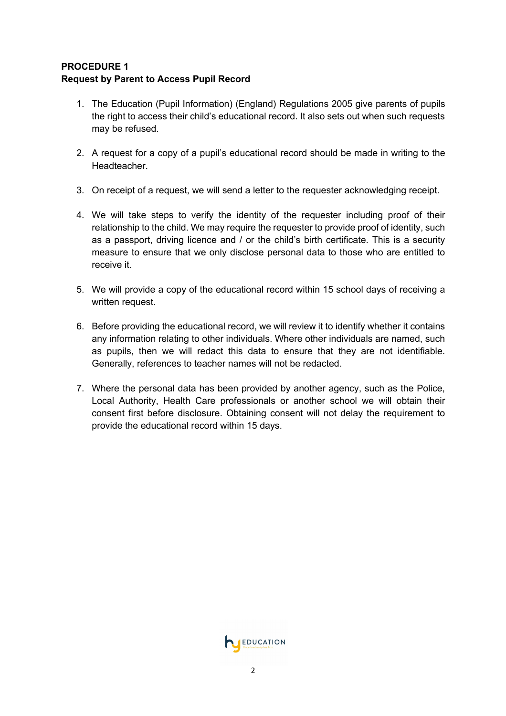#### **PROCEDURE 1 Request by Parent to Access Pupil Record**

- 1. The Education (Pupil Information) (England) Regulations 2005 give parents of pupils the right to access their child's educational record. It also sets out when such requests may be refused.
- 2. A request for a copy of a pupil's educational record should be made in writing to the Headteacher.
- 3. On receipt of a request, we will send a letter to the requester acknowledging receipt.
- 4. We will take steps to verify the identity of the requester including proof of their relationship to the child. We may require the requester to provide proof of identity, such as a passport, driving licence and / or the child's birth certificate. This is a security measure to ensure that we only disclose personal data to those who are entitled to receive it.
- 5. We will provide a copy of the educational record within 15 school days of receiving a written request.
- 6. Before providing the educational record, we will review it to identify whether it contains any information relating to other individuals. Where other individuals are named, such as pupils, then we will redact this data to ensure that they are not identifiable. Generally, references to teacher names will not be redacted.
- 7. Where the personal data has been provided by another agency, such as the Police, Local Authority, Health Care professionals or another school we will obtain their consent first before disclosure. Obtaining consent will not delay the requirement to provide the educational record within 15 days.

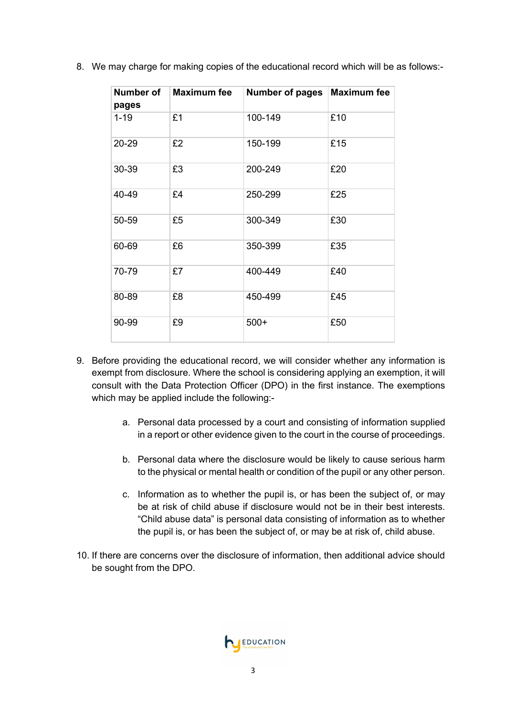| 8. We may charge for making copies of the educational record which will be as follows:- |
|-----------------------------------------------------------------------------------------|
|-----------------------------------------------------------------------------------------|

| Number of<br>pages | <b>Maximum fee</b> | <b>Number of pages</b> | <b>Maximum fee</b> |
|--------------------|--------------------|------------------------|--------------------|
| $1 - 19$           | £1                 | 100-149                | £10                |
| 20-29              | £2                 | 150-199                | £15                |
| 30-39              | £3                 | 200-249                | £20                |
| 40-49              | £4                 | 250-299                | £25                |
| 50-59              | £5                 | 300-349                | £30                |
| 60-69              | £6                 | 350-399                | £35                |
| 70-79              | £7                 | 400-449                | £40                |
| 80-89              | £8                 | 450-499                | £45                |
| 90-99              | £9                 | $500+$                 | £50                |

- 9. Before providing the educational record, we will consider whether any information is exempt from disclosure. Where the school is considering applying an exemption, it will consult with the Data Protection Officer (DPO) in the first instance. The exemptions which may be applied include the following:
	- a. Personal data processed by a court and consisting of information supplied in a report or other evidence given to the court in the course of proceedings.
	- b. Personal data where the disclosure would be likely to cause serious harm to the physical or mental health or condition of the pupil or any other person.
	- c. Information as to whether the pupil is, or has been the subject of, or may be at risk of child abuse if disclosure would not be in their best interests. "Child abuse data" is personal data consisting of information as to whether the pupil is, or has been the subject of, or may be at risk of, child abuse.
- 10. If there are concerns over the disclosure of information, then additional advice should be sought from the DPO.

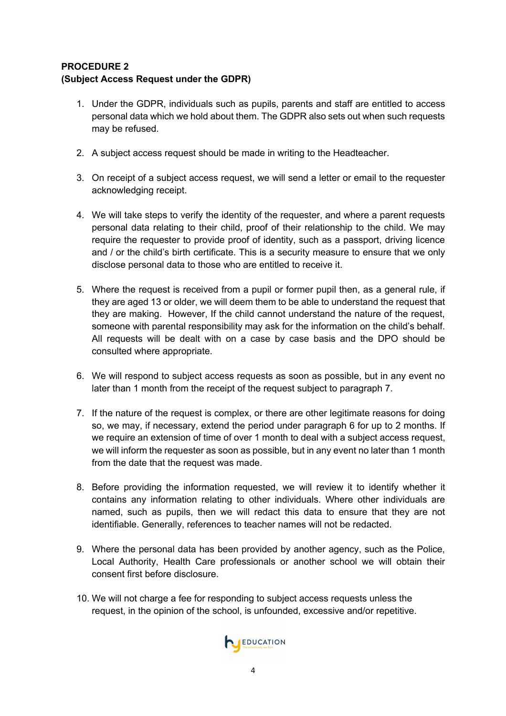#### **PROCEDURE 2 (Subject Access Request under the GDPR)**

- 1. Under the GDPR, individuals such as pupils, parents and staff are entitled to access personal data which we hold about them. The GDPR also sets out when such requests may be refused.
- 2. A subject access request should be made in writing to the Headteacher.
- 3. On receipt of a subject access request, we will send a letter or email to the requester acknowledging receipt.
- 4. We will take steps to verify the identity of the requester, and where a parent requests personal data relating to their child, proof of their relationship to the child. We may require the requester to provide proof of identity, such as a passport, driving licence and / or the child's birth certificate. This is a security measure to ensure that we only disclose personal data to those who are entitled to receive it.
- 5. Where the request is received from a pupil or former pupil then, as a general rule, if they are aged 13 or older, we will deem them to be able to understand the request that they are making. However, If the child cannot understand the nature of the request, someone with parental responsibility may ask for the information on the child's behalf. All requests will be dealt with on a case by case basis and the DPO should be consulted where appropriate.
- 6. We will respond to subject access requests as soon as possible, but in any event no later than 1 month from the receipt of the request subject to paragraph 7.
- 7. If the nature of the request is complex, or there are other legitimate reasons for doing so, we may, if necessary, extend the period under paragraph 6 for up to 2 months. If we require an extension of time of over 1 month to deal with a subject access request, we will inform the requester as soon as possible, but in any event no later than 1 month from the date that the request was made.
- 8. Before providing the information requested, we will review it to identify whether it contains any information relating to other individuals. Where other individuals are named, such as pupils, then we will redact this data to ensure that they are not identifiable. Generally, references to teacher names will not be redacted.
- 9. Where the personal data has been provided by another agency, such as the Police, Local Authority, Health Care professionals or another school we will obtain their consent first before disclosure.
- 10. We will not charge a fee for responding to subject access requests unless the request, in the opinion of the school, is unfounded, excessive and/or repetitive.